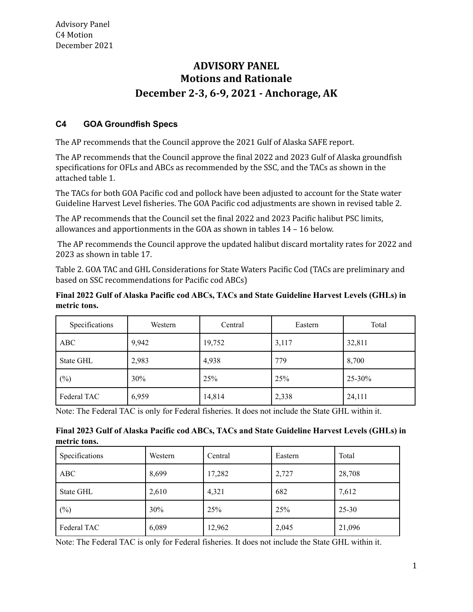# **ADVISORY PANEL Motions and Rationale December 2-3, 6-9, 2021 - Anchorage, AK**

# **C4 GOA Groundfish Specs**

The AP recommends that the Council approve the 2021 Gulf of Alaska SAFE report.

The AP recommends that the Council approve the final 2022 and 2023 Gulf of Alaska groundfish specifications for OFLs and ABCs as recommended by the SSC, and the TACs as shown in the attached table 1.

The TACs for both GOA Pacific cod and pollock have been adjusted to account for the State water Guideline Harvest Level fisheries. The GOA Pacific cod adjustments are shown in revised table 2.

The AP recommends that the Council set the final 2022 and 2023 Pacific halibut PSC limits, allowances and apportionments in the GOA as shown in tables 14 – 16 below.

The AP recommends the Council approve the updated halibut discard mortality rates for 2022 and 2023 as shown in table 17.

Table 2. GOA TAC and GHL Considerations for State Waters Pacific Cod (TACs are preliminary and based on SSC recommendations for Pacific cod ABCs)

### **Final 2022 Gulf of Alaska Pacific cod ABCs, TACs and State Guideline Harvest Levels (GHLs) in metric tons.**

| Specifications | Western | Central | Eastern | Total      |
|----------------|---------|---------|---------|------------|
| <b>ABC</b>     | 9,942   | 19,752  | 3,117   | 32,811     |
| State GHL      | 2,983   | 4,938   | 779     | 8,700      |
| $(\%)$         | 30%     | 25%     | 25%     | $25 - 30%$ |
| Federal TAC    | 6,959   | 14,814  | 2,338   | 24,111     |

Note: The Federal TAC is only for Federal fisheries. It does not include the State GHL within it.

#### **Final 2023 Gulf of Alaska Pacific cod ABCs, TACs and State Guideline Harvest Levels (GHLs) in metric tons.**

| Specifications | Western | Central | Eastern | Total     |
|----------------|---------|---------|---------|-----------|
| <b>ABC</b>     | 8,699   | 17,282  | 2,727   | 28,708    |
| State GHL      | 2,610   | 4,321   | 682     | 7,612     |
| $(\%)$         | 30%     | 25%     | 25%     | $25 - 30$ |
| Federal TAC    | 6,089   | 12,962  | 2,045   | 21,096    |

Note: The Federal TAC is only for Federal fisheries. It does not include the State GHL within it.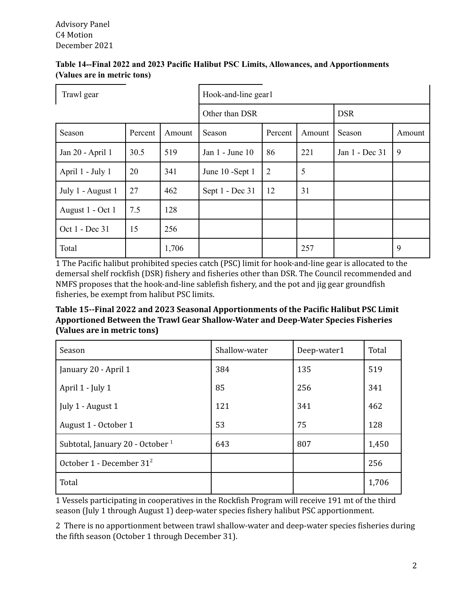| Table 14--Final 2022 and 2023 Pacific Halibut PSC Limits, Allowances, and Apportionments |  |
|------------------------------------------------------------------------------------------|--|
| (Values are in metric tons)                                                              |  |

| Trawl gear        |         | Hook-and-line gear1 |                              |                |        |                |        |  |
|-------------------|---------|---------------------|------------------------------|----------------|--------|----------------|--------|--|
|                   |         |                     | Other than DSR<br><b>DSR</b> |                |        |                |        |  |
| Season            | Percent | Amount              | Season                       | Percent        | Amount | Season         | Amount |  |
| Jan 20 - April 1  | 30.5    | 519                 | Jan 1 - June 10              | 86             | 221    | Jan 1 - Dec 31 | 9      |  |
| April 1 - July 1  | 20      | 341                 | June 10 -Sept 1              | $\overline{2}$ | 5      |                |        |  |
| July 1 - August 1 | 27      | 462                 | Sept 1 - Dec 31              | 12             | 31     |                |        |  |
| August 1 - Oct 1  | 7.5     | 128                 |                              |                |        |                |        |  |
| Oct 1 - Dec 31    | 15      | 256                 |                              |                |        |                |        |  |
| Total             |         | 1,706               |                              |                | 257    |                | 9      |  |

1 The Pacific halibut prohibited species catch (PSC) limit for hook-and-line gear is allocated to the demersal shelf rockfish (DSR) fishery and fisheries other than DSR. The Council recommended and NMFS proposes that the hook-and-line sablefish fishery, and the pot and jig gear groundfish fisheries, be exempt from halibut PSC limits.

**Table 15--Final 2022 and 2023 Seasonal Apportionments of the Pacific Halibut PSC Limit Apportioned Between the Trawl Gear Shallow-Water and Deep-Water Species Fisheries (Values are in metric tons)**

| Season                               | Shallow-water | Deep-water1 | Total |
|--------------------------------------|---------------|-------------|-------|
| January 20 - April 1                 | 384           | 135         | 519   |
| April 1 - July 1                     | 85            | 256         | 341   |
| July 1 - August 1                    | 121           | 341         | 462   |
| August 1 - October 1                 | 53            | 75          | 128   |
| Subtotal, January 20 - October $1$   | 643           | 807         | 1,450 |
| October 1 - December 31 <sup>2</sup> |               |             | 256   |
| Total                                |               |             | 1,706 |

1 Vessels participating in cooperatives in the Rockfish Program will receive 191 mt of the third season (July 1 through August 1) deep-water species fishery halibut PSC apportionment.

2 There is no apportionment between trawl shallow-water and deep-water species fisheries during the fifth season (October 1 through December 31).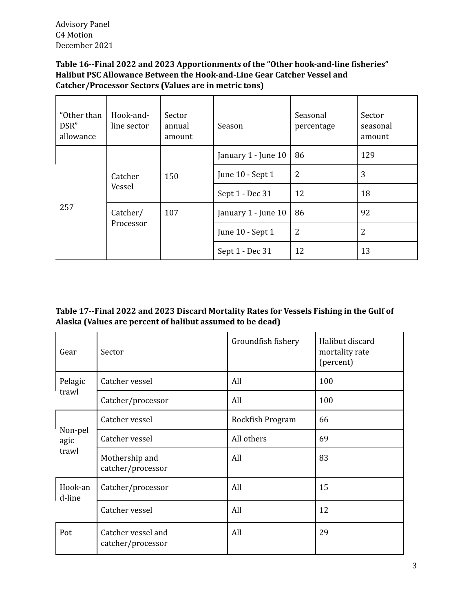Advisory Panel C4 Motion December 2021

# **Table 16--Final 2022 and 2023 Apportionments of the "Other hook-and-line fisheries" Halibut PSC Allowance Between the Hook-and-Line Gear Catcher Vessel and Catcher/Processor Sectors (Values are in metric tons)**

| "Other than<br>DSR"<br>allowance | Hook-and-<br>line sector | Sector<br>annual<br>amount | Season              | Seasonal<br>percentage | Sector<br>seasonal<br>amount |
|----------------------------------|--------------------------|----------------------------|---------------------|------------------------|------------------------------|
| 257                              |                          | 150                        | January 1 - June 10 | 86                     | 129                          |
|                                  | Catcher<br>Vessel        |                            | June 10 - Sept 1    | 2                      | 3                            |
|                                  |                          |                            | Sept 1 - Dec 31     | 12                     | 18                           |
|                                  | Catcher/                 | 107                        | January 1 - June 10 | 86                     | 92                           |
|                                  | Processor                |                            | June 10 - Sept 1    | 2                      | 2                            |
|                                  |                          |                            | Sept 1 - Dec 31     | 12                     | 13                           |

# **Table 17--Final 2022 and 2023 Discard Mortality Rates for Vessels Fishing in the Gulf of Alaska (Values are percent of halibut assumed to be dead)**

| Gear              | Sector                                  | Groundfish fishery | Halibut discard<br>mortality rate<br>(percent) |
|-------------------|-----------------------------------------|--------------------|------------------------------------------------|
| Pelagic           | Catcher vessel                          | All                | 100                                            |
| trawl             | Catcher/processor                       | All                | 100                                            |
|                   | Catcher vessel                          | Rockfish Program   | 66                                             |
| Non-pel<br>agic   | Catcher vessel                          | All others         | 69                                             |
| trawl             | Mothership and<br>catcher/processor     | All                | 83                                             |
| Hook-an<br>d-line | Catcher/processor                       | All                | 15                                             |
|                   | Catcher vessel                          | All                | 12                                             |
| Pot               | Catcher vessel and<br>catcher/processor | All                | 29                                             |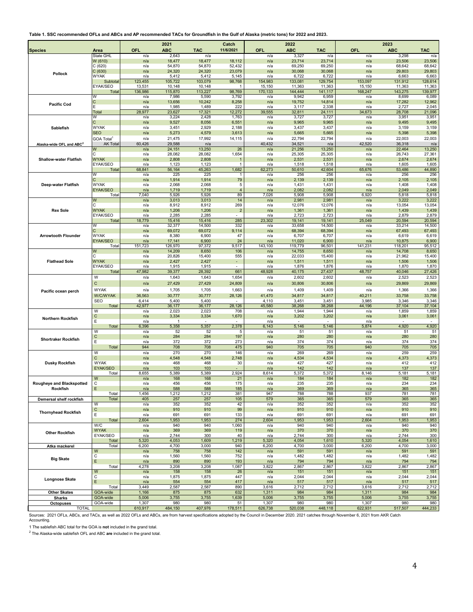**Table 1. SSC recommended OFLs and ABCs and AP recommended TACs for Groundfish in the Gulf of Alaska (metric tons) for 2022 and 2023.**

| <b>Species</b>                       | Area                          | <b>OFL</b>      | 2021<br><b>ABC</b> | <b>TAC</b>       | Catch<br>11/6/2021            | OFL             | 2022<br><b>ABC</b>                | <b>TAC</b>       | OFL             | 2023<br><b>ABC</b> | <b>TAC</b>       |
|--------------------------------------|-------------------------------|-----------------|--------------------|------------------|-------------------------------|-----------------|-----------------------------------|------------------|-----------------|--------------------|------------------|
|                                      | <b>State GHL</b>              | n/a             | 2,643              | n/a              |                               | n/a             | 3,327                             | n/a              | n/a             | 3,298              | n/a              |
|                                      | W (610)                       | n/a             | 18,477             | 18,477           | 18,112                        | n/a             | 23,714                            | 23,714           | n/a             | 23,506             | 23,506           |
|                                      | C(620)                        | n/a             | 54,870             | 54,870           | 52,432                        | n/a             | 69,250                            | 69,250           | n/a             | 68,642             | 68,642           |
| Pollock                              | C(630)<br>WYAK                | n/a<br>n/a      | 24,320<br>5,412    | 24,320<br>5,412  | 23,079<br>5,145               | n/a<br>n/a      | 30,068<br>6,722                   | 30,068<br>6,722  | n/a             | 29,803             | 29,803           |
|                                      | Subtotal                      | 123,455         | 105,722            | 103,079          | 98,768                        | 154,983         | 133,081                           | 129,754          | n/a<br>153,097  | 6,663<br>131,912   | 6,663<br>128,614 |
|                                      | EYAK/SEO                      | 13,531          | 10,148             | 10,148           |                               | 15,150          | 11,363                            | 11,363           | 15,150          | 11,363             | 11,363           |
|                                      | Total                         | 136,986         | 115,870            | 113,227          | 98,769                        | 170,133         | 144,444                           | 141,117          | 168,247         | 143,275            | 139,977          |
|                                      | W                             | n/a             | 7,986              | 5,590            | 3,792                         | n/a             | 9,942                             | 6,959            | n/a             | 8,699              | 6,089            |
| <b>Pacific Cod</b>                   | С                             | n/a<br>n/a      | 13,656<br>1,985    | 10,242<br>1,489  | 8,258<br>222                  | n/a<br>n/a      | 19,752<br>3,117                   | 14,814<br>2,338  | n/a<br>n/a      | 17,282<br>2,727    | 12,962<br>2,045  |
|                                      | Total                         | 28,977          | 23,627             | 17,321           | 12,272                        | 39,555          | 32,811                            | 24,111           | 34,673          | 28,708             | 21,096           |
|                                      | W                             | n/a             | 3,224              | 2,428            | 1,763                         | n/a             | 3,727                             | 3,727            | n/a             | 3,951              | 3,951            |
|                                      |                               | n/a             | 9,527              | 8,056            | 6,551                         | n/a             | 9,965                             | 9,965            | n/a             | 9,495              | 9,495            |
| Sablefish                            | <b>WYAK</b>                   | n/a             | 3,451              | 2,929            | 2,188                         | n/a             | 3,437                             | 3,437            | n/a             | 3,159              | 3,159            |
|                                      | SEO<br>GOA Total <sup>1</sup> | n/a<br>n/a      | 5,273<br>21,475    | 4,579<br>17,992  | 3,613<br>14,115               | n/a<br>n/a      | 5,665<br>22,794                   | 5,665<br>22,794  | n/a<br>n/a      | 5,398<br>22,003    | 5,398<br>22,003  |
| Alaska-wide OFL and ABC <sup>2</sup> | <b>AK Total</b>               | 60,426          | 29,588             | n/a              |                               | 40,432          | 34,521                            | n/a              | 42,520          | 36,318             | n/a              |
|                                      | W                             | n/a             | 24,151             | 13,250           | 26                            | n/a             | 21,256                            | 13,250           | n/a             | 22,464             | 13,250           |
|                                      |                               | n/a             | 28,082             | 28,082           | 1,654                         | n/a             | 25,305                            | 25,305           | n/a             | 26,743             | 27,361           |
| <b>Shallow-water Flatfish</b>        | <b>WYAK</b>                   | n/a             | 2,808              | 2,808            |                               | n/a             | 2,531                             | 2,531            | n/a             | 2,674              | 2,674            |
|                                      | EYAK/SEO<br>Total             | n/a<br>68,841   | 1,123<br>56,164    | 1,123<br>45,263  | $\overline{1}$<br>1,682       | n/a<br>62,273   | 1,518<br>50,610                   | 1,518<br>42,604  | n/a<br>65,676   | 1,605<br>53,486    | 1,605<br>44,890  |
|                                      | W                             | n/a             | 225                | 225              | 1                             | n/a             | 256                               | 256              | n/a             | 256                | 256              |
|                                      |                               | n/a             | 1,914              | 1,914            | 79                            | n/a             | 2,139                             | 2,139            | n/a             | 2,105              | 2,105            |
| Deep-water Flatfish                  | <b>WYAK</b>                   | n/a             | 2,068              | 2,068            | 5                             | n/a             | 1,431                             | 1,431            | n/a             | 1,408              | 1,408            |
|                                      | EYAK/SEO<br>Total             | n/a<br>7,040    | 1,719<br>5,926     | 1,719<br>5,926   | $\overline{\mathbf{4}}$<br>89 | n/a<br>7,026    | 2,082<br>5,908                    | 2,082<br>5,908   | n/a<br>6,920    | 2,049<br>5,818     | 2,049<br>5,818   |
|                                      | W                             | n/a             | 3,013              | 3,013            | 14                            | n/a             | 2,981                             | 2,981            | n/a             | 3,222              | 3,222            |
|                                      |                               | n/a             | 8,912              | 8,912            | 269                           | n/a             | 12,076                            | 12,076           | n/a             | 13,054             | 13,054           |
| <b>Rex Sole</b>                      | <b>WYAK</b>                   | n/a             | 1,206              | 1,206            | $\overline{2}$                | n/a             | 1,361                             | 1,361            | n/a             | 1,439              | 1,439            |
|                                      | EYAK/SEO                      | n/a             | 2,285<br>15,416    | 2,285            | $\sim$<br>285                 | n/a<br>23,302   | 2,723<br>19,141                   | 2,723            | n/a<br>25,049   | 2,879<br>20,594    | 2,879<br>20,594  |
|                                      | Total<br>W                    | 18,779<br>n/a   | 32,377             | 15,416<br>14,500 | 332                           | n/a             | 33,658                            | 19,141<br>14,500 | n/a             | 33,214             | 14,500           |
|                                      |                               | n/a             | 69,072             | 69,072           | 9,114                         | n/a             | 68,394                            | 68,394           | n/a             | 67,493             | 67,493           |
| <b>Arrowtooth Flounder</b>           | <b>WYAK</b>                   | n/a             | 8,380              | 6,900            | 47                            | n/a             | 6,707                             | 6,707            | n/a             | 6,619              | 6,619            |
|                                      | EYAK/SEO                      | n/a             | 17,141             | 6,900            | 24                            | n/a             | 11,020                            | 6,900            | n/a             | 10,875             | 6,900            |
|                                      | Total<br>W                    | 151,723<br>n/a  | 126,970<br>14,209  | 97,372<br>8,650  | 9,517<br>106                  | 143,100<br>n/a  | 119,779<br>14,755                 | 96,501<br>8,650  | 141,231<br>n/a  | 118,201<br>14,708  | 95,512<br>8,650  |
|                                      |                               | n/a             | 20,826             | 15,400           | 555                           | n/a             | 22,033                            | 15,400           | n/a             | 21,962             | 15,400           |
| <b>Flathead Sole</b>                 | <b>WYAK</b>                   | n/a             | 2,427              | 2,427            | $\blacksquare$                | n/a             | 1,511                             | 1,511            | n/a             | 1,506              | 1,506            |
|                                      | EYAK/SEO                      | n/a             | 1,915              | 1,915            |                               | n/a             | 1,876                             | 1,876            | n/a             | 1,870              | 1,870            |
|                                      | Total                         | 47,982          | 39,377             | 28,392           | 661                           | 48,928          | 40,175                            | 27,437           | 48,757          | 40,046             | 27,426           |
|                                      | W                             | n/a             | 1,643              | 1,643            | 1,654                         | n/a             | 2,602                             | 2,602            | n/a             | 2,523              | 2,523            |
|                                      | $\mathsf{C}$                  | n/a             | 27,429             | 27,429           | 24,809                        | n/a             | 30,806                            | 30,806           | n/a             | 29,869             | 29,869           |
| Pacific ocean perch                  | <b>WYAK</b>                   | n/a             | 1,705              | 1,705            | 1,663                         | n/a             | 1,409                             | 1,409            | n/a             | 1,366              | 1,366            |
|                                      | W/C/WYAK<br><b>SEO</b>        | 36,563<br>6,414 | 30,777<br>5,400    | 30,777<br>5,400  | 28,126                        | 41,470<br>4,110 | 34,817<br>3,451                   | 34,817<br>3,451  | 40,211<br>3,985 | 33,758             | 33,758           |
|                                      | Total                         | 42,977          | 36,177             | 36,177           | 28,126                        | 45,580          | 38,268                            | 38,268           | 44,196          | 3,346<br>37,104    | 3,346<br>37,104  |
|                                      | W                             | n/a             | 2,023              | 2,023            | 708                           | n/a             | 1,944                             | 1,944            | n/a             | 1,859              | 1,859            |
| Northern Rockfish                    | C                             | n/a             | 3,334              | 3,334            | 1,670                         | n/a             | 3,202                             | 3,202            | n/a             | 3,061              | 3,061            |
|                                      | E<br>Total                    | n/a<br>6,396    | -1<br>5,358        | 5,357            | 2,378                         | n/a<br>6,143    | $\overline{\phantom{a}}$<br>5,146 | 5,146            | n/a<br>5,874    | 4,920              | 4,920            |
|                                      | W                             | n/a             | 52                 | 52               | 5                             | n/a             | 51                                | 51               | n/a             | 51                 | 51               |
|                                      | $\mathsf{C}$                  | n/a             | 284                | 284              | 197                           | n/a             | 280                               | 280              | n/a             | 280                | 280              |
| <b>Shortraker Rockfish</b>           | E                             | n/a             | 372                | 372              | 273                           | n/a             | 374                               | 374              | n/a             | 374                | 374              |
|                                      | Total                         | 944             | 708                | 708              | 475                           | 940             | 705                               | 705              | 940             | 705                | 705              |
|                                      | W<br>$\mathsf{C}$             | n/a<br>n/a      | 270<br>4,548       | 270<br>4,548     | 146<br>2,748                  | n/a<br>n/a      | 269<br>4,534                      | 269<br>4,534     | n/a<br>n/a      | 259<br>4,373       | 259<br>4,373     |
| <b>Dusky Rockfish</b>                | <b>WYAK</b>                   | n/a             | 468                | 468              | 30                            | n/a             | 427                               | 427              | n/a             | 412                | 412              |
|                                      | EYAK/SEO                      | n/a             | 103                | 103              |                               | n/a             | 142                               | 142              | n/a             | 137                | 137              |
|                                      | Total                         | 8,655           | 5,389              | 5,389            | 2,924                         | 8,614           | 5,372                             | 5,372            | 8,146           | 5,181              | 5,181            |
| Rougheye and Blackspotted            | W<br>C                        | n/a<br>n/a      | 168<br>456         | 168<br>456       | 21<br>175                     | n/a             | 184<br>235                        | 184<br>235       | n/a<br>n/a      | 182<br>234         | 182<br>234       |
| Rockfish                             | Ε                             | n/a             | 588                | 588              | 185                           | n/a<br>n/a      | 369                               | 369              | n/a             | 365                | 365              |
|                                      | Total                         | 1,456           | 1,212              | 1,212            | 381                           | 947             | 788                               | 788              | 937             | 781                | 781              |
| Demersal shelf rockfish              | Total                         | 405             | 257                | 257              | 105                           | 579             | 365                               | 365              | 579             | 365                | 365              |
|                                      | W                             | n/a             | 352                | 352              | 42                            | n/a             | 352                               | 352              | n/a             | 352                | 352              |
| <b>Thornyhead Rockfish</b>           | $\mathtt{C}$<br>Ε             | n/a<br>n/a      | 910<br>691         | 910<br>691       | 99<br>133                     | n/a<br>n/a      | 910<br>691                        | 910<br>691       | n/a<br>n/a      | 910<br>691         | 910<br>691       |
|                                      | Total                         | 2,604           | ,953               | 1,953            | 274                           | 2,604           | 1,953                             | 1,953            | 2,604           | 1,953              | 1,953            |
|                                      | W/C                           | n/a             | 940                | 940              | 1,060                         | n/a             | 940                               | 940              | n/a             | 940                | 940              |
| <b>Other Rockfish</b>                | <b>WYAK</b>                   | n/a             | 369                | 369              | 119                           | n/a             | 370                               | 370              | n/a             | 370                | 370              |
|                                      | EYAK/SEO<br>Total             | n/a<br>5,320    | 2,744<br>4,053     | 300<br>1,609     | 40<br>1,219                   | n/a<br>5,320    | 2,744<br>4,054                    | 300<br>1,610     | n/a<br>5,320    | 2,744<br>4,054     | 300<br>1,610     |
| Atka mackerel                        | Total                         | 6,200           | 4,700              | 3,000            | 940                           | 6,200           | 4,700                             | 3,000            | 6,200           | 4,700              | 3,000            |
|                                      | W                             | n/a             | 758                | 758              | 142                           | n/a             | 591                               | 591              | n/a             | 591                | 591              |
| <b>Big Skate</b>                     | $\overline{C}$                | n/a             | 1,560              | 1,560            | 752                           | n/a             | 1,482                             | 1,482            | n/a             | 1,482              | 1,482            |
|                                      | Ε                             | n/a             | 890                | 890              | 193                           | n/a             | 794                               | 794              | n/a             | 794                | 794              |
|                                      | Total<br>W                    | 4,278<br>n/a    | 3,208<br>158       | 3,208<br>158     | 1,087<br>26                   | 3,822           | 2,867<br>151                      | 2,867<br>151     | 3,822<br>n/a    | 2,867<br>151       | 2,867<br>151     |
|                                      | $\overline{C}$                | n/a             | 1,875              | 1,875            | 447                           | n/a<br>n/a      | 2,044                             | 2,044            | n/a             | 2,044              | 2,044            |
| <b>Longnose Skate</b>                | E                             | n/a             | 554                | 554              | 417                           | n/a             | 517                               | 517              | n/a             | 517                | 517              |
|                                      | Total                         | 3,449           | 2,587              | 2,587            | 890                           | 3,616           | 2,712                             | 2,712            | 3,616           | 2,712              | 2,712            |
| <b>Other Skates</b>                  | GOA-wide                      | 1,166           | 875                | 875              | 632                           | 1,311           | 984                               | 984              | 1,311           | 984                | 984              |
| <b>Sharks</b><br><b>Octopuses</b>    | GOA-wide<br>GOA-wide          | 5,006<br>1,307  | 3,755<br>980       | 3,755<br>980     | 1,639<br>51                   | 5,006<br>1,307  | 3,755<br>980                      | 3,755<br>980     | 5,006<br>1,307  | 3,755<br>980       | 3,755<br>980     |
| <b>TOTAL</b>                         |                               | 610,917         | 484,150            | 407,976          | 178,511                       | 626,738         | 520,038                           | 448,118          | 622,931         | 517,507            | 444,233          |

Sources: 2021 OFLs, ABCs, and TACs, as well as 2022 OFLs and ABCs, are from harvest specifications adopted by the Council in December 2020. 2021 catches through November 6, 2021 from AKR Catch Accounting.

1 The sablefish ABC total for the GOA is **not** included in the grand total. 2 The Alaska-wide sablefish OFL and ABC **are** included in the grand total.